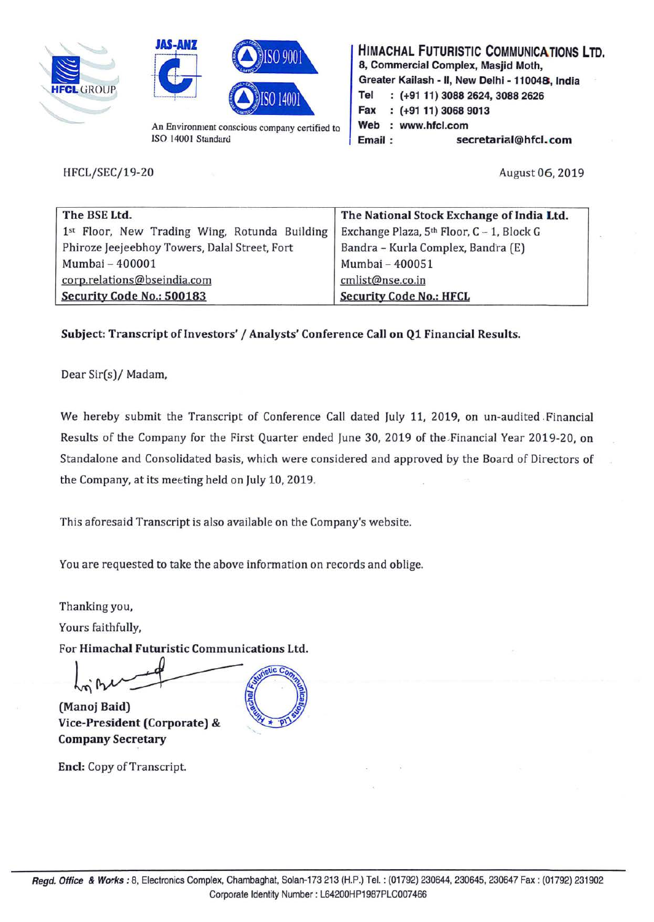





An Environment conscious company certified to ISO 14001 Standard

HFCL/SEC/19-20

**HIMACHAL FUTURISTIC COMMUNICATIONS LTD. 8, Commercial Complex, Masjid Moth, Greater Kailash** - II, **New Delhi** - **110048, India Tel (+91 11) 3088 2624, 3088 2626 Fax (+91 11) 3068 9013**  Web : www.hfcl.com **Email: secretarial@hfcl.com** 

August 06, 2019

| The BSE Ltd.                                  | The National Stock Exchange of India Ltd.             |  |
|-----------------------------------------------|-------------------------------------------------------|--|
| 1st Floor, New Trading Wing, Rotunda Building | Exchange Plaza, 5 <sup>th</sup> Floor, C - 1, Block G |  |
| Phiroze Jeejeebhoy Towers, Dalal Street, Fort | Bandra - Kurla Complex, Bandra (E)                    |  |
| Mumbai - 400001                               | Mumbai - 400051                                       |  |
| corp.relations@bseindia.com                   | cmlist@nse.co.in                                      |  |
| Security Code No.: 500183                     | <b>Security Code No.: HFCL</b>                        |  |

**Subject: Transcript of Investors'** / **Analysts' Conference Call on Q1 Financial Results.** 

Dear Sir(s)/ Madam,

We hereby submit the Transcript of Conference Call dated July 11, 2019, on un-audited .Financial Results of the Company for the First Quarter ended June 30, 2019 of the .Financial Year 2019-20, on Standalone and Consolidated basis, which were considered and approved by the Board of Directors of the Company, at its meeting held on July 10, 2019.

This aforesaid Transcript is also available on the Company's website.

You are requested to take the above information on records and oblige.

Thanking you,

Yours faithfully,

For **Himachal Futuristic Communications Ltd.** 

**(Manoj Baid) Vice-President (Corporate)** &

**Encl:** Copy of Transcript.

**Company Secretary**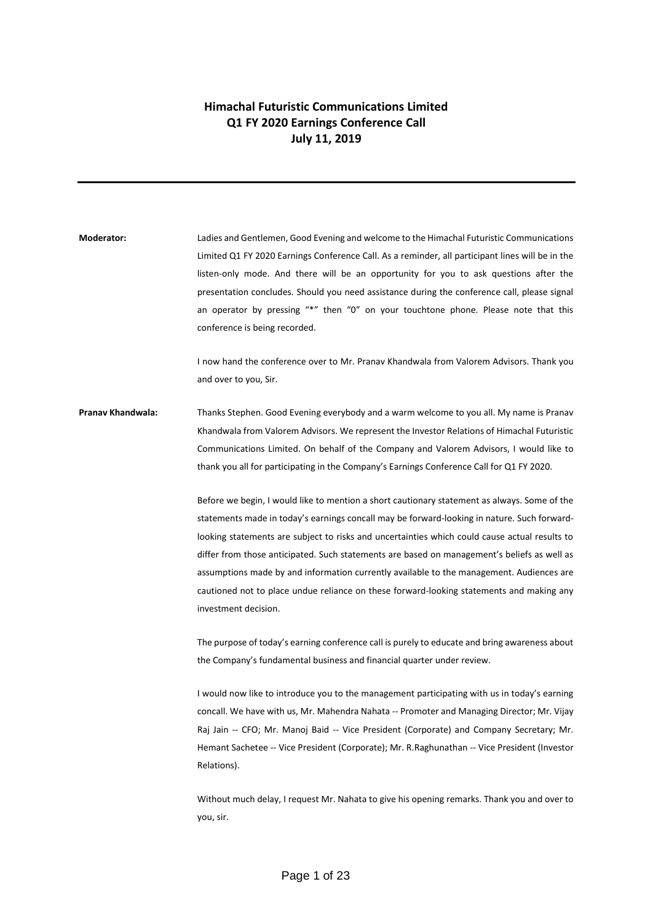## **Himachal Futuristic Communications Limited Q1 FY 2020 Earnings Conference Call July 11, 2019**

**Moderator:** Ladies and Gentlemen, Good Evening and welcome to the Himachal Futuristic Communications Limited Q1 FY 2020 Earnings Conference Call. As a reminder, all participant lines will be in the listen-only mode. And there will be an opportunity for you to ask questions after the presentation concludes. Should you need assistance during the conference call, please signal an operator by pressing "\*" then "0" on your touchtone phone. Please note that this conference is being recorded.

> I now hand the conference over to Mr. Pranav Khandwala from Valorem Advisors. Thank you and over to you, Sir.

**Pranav Khandwala:** Thanks Stephen. Good Evening everybody and a warm welcome to you all. My name is Pranav Khandwala from Valorem Advisors. We represent the Investor Relations of Himachal Futuristic Communications Limited. On behalf of the Company and Valorem Advisors, I would like to thank you all for participating in the Company's Earnings Conference Call for Q1 FY 2020.

> Before we begin, I would like to mention a short cautionary statement as always. Some of the statements made in today's earnings concall may be forward-looking in nature. Such forwardlooking statements are subject to risks and uncertainties which could cause actual results to differ from those anticipated. Such statements are based on management's beliefs as well as assumptions made by and information currently available to the management. Audiences are cautioned not to place undue reliance on these forward-looking statements and making any investment decision.

> The purpose of today's earning conference call is purely to educate and bring awareness about the Company's fundamental business and financial quarter under review.

> I would now like to introduce you to the management participating with us in today's earning concall. We have with us, Mr. Mahendra Nahata -- Promoter and Managing Director; Mr. Vijay Raj Jain -- CFO; Mr. Manoj Baid -- Vice President (Corporate) and Company Secretary; Mr. Hemant Sachetee -- Vice President (Corporate); Mr. R.Raghunathan -- Vice President (Investor Relations).

> Without much delay, I request Mr. Nahata to give his opening remarks. Thank you and over to you, sir.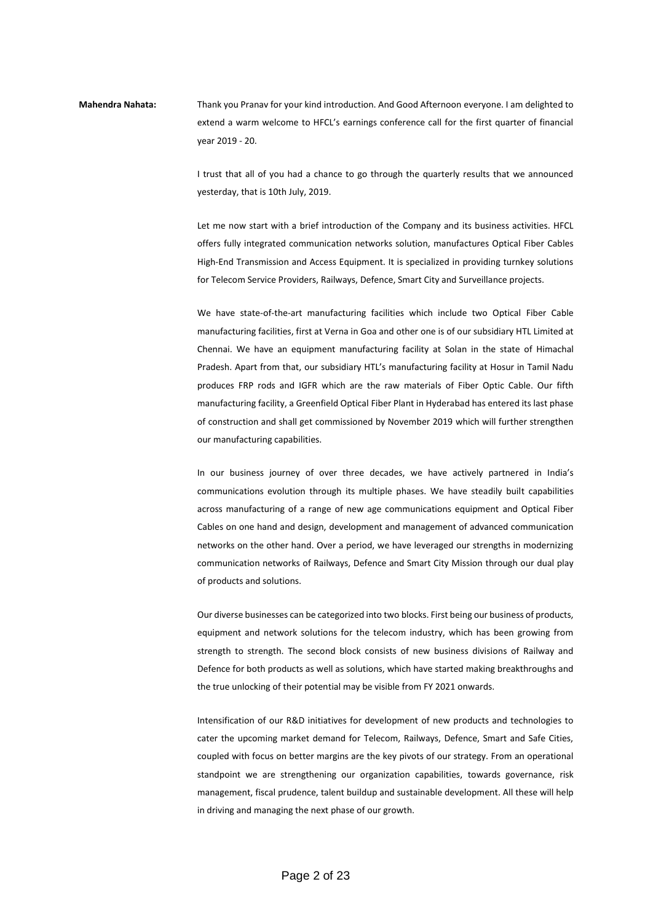## **Mahendra Nahata:** Thank you Pranav for your kind introduction. And Good Afternoon everyone. I am delighted to extend a warm welcome to HFCL's earnings conference call for the first quarter of financial year 2019 - 20.

I trust that all of you had a chance to go through the quarterly results that we announced yesterday, that is 10th July, 2019.

Let me now start with a brief introduction of the Company and its business activities. HFCL offers fully integrated communication networks solution, manufactures Optical Fiber Cables High-End Transmission and Access Equipment. It is specialized in providing turnkey solutions for Telecom Service Providers, Railways, Defence, Smart City and Surveillance projects.

We have state-of-the-art manufacturing facilities which include two Optical Fiber Cable manufacturing facilities, first at Verna in Goa and other one is of our subsidiary HTL Limited at Chennai. We have an equipment manufacturing facility at Solan in the state of Himachal Pradesh. Apart from that, our subsidiary HTL's manufacturing facility at Hosur in Tamil Nadu produces FRP rods and IGFR which are the raw materials of Fiber Optic Cable. Our fifth manufacturing facility, a Greenfield Optical Fiber Plant in Hyderabad has entered its last phase of construction and shall get commissioned by November 2019 which will further strengthen our manufacturing capabilities.

In our business journey of over three decades, we have actively partnered in India's communications evolution through its multiple phases. We have steadily built capabilities across manufacturing of a range of new age communications equipment and Optical Fiber Cables on one hand and design, development and management of advanced communication networks on the other hand. Over a period, we have leveraged our strengths in modernizing communication networks of Railways, Defence and Smart City Mission through our dual play of products and solutions.

Our diverse businesses can be categorized into two blocks. First being our business of products, equipment and network solutions for the telecom industry, which has been growing from strength to strength. The second block consists of new business divisions of Railway and Defence for both products as well as solutions, which have started making breakthroughs and the true unlocking of their potential may be visible from FY 2021 onwards.

Intensification of our R&D initiatives for development of new products and technologies to cater the upcoming market demand for Telecom, Railways, Defence, Smart and Safe Cities, coupled with focus on better margins are the key pivots of our strategy. From an operational standpoint we are strengthening our organization capabilities, towards governance, risk management, fiscal prudence, talent buildup and sustainable development. All these will help in driving and managing the next phase of our growth.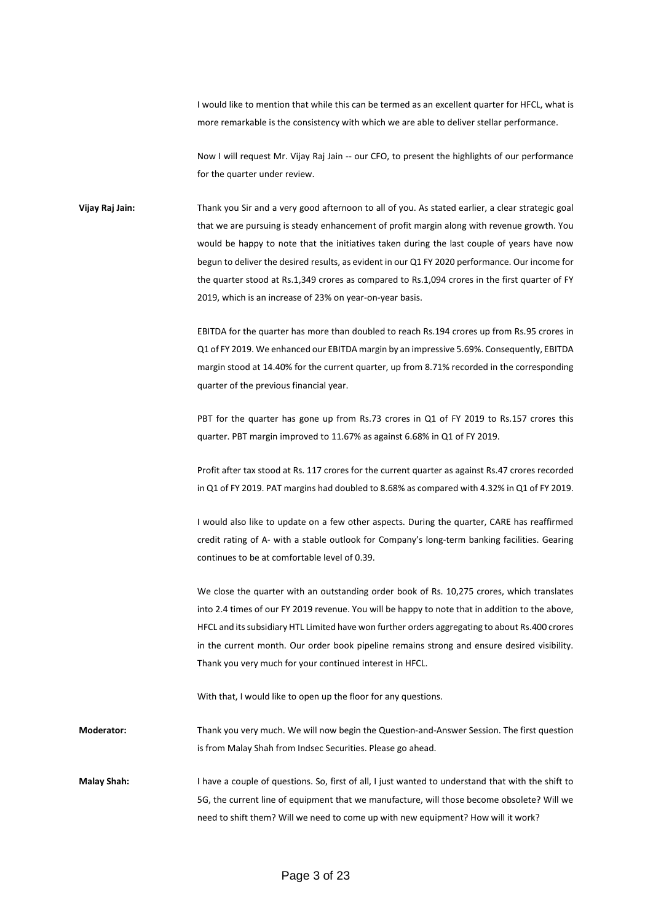I would like to mention that while this can be termed as an excellent quarter for HFCL, what is more remarkable is the consistency with which we are able to deliver stellar performance.

Now I will request Mr. Vijay Raj Jain -- our CFO, to present the highlights of our performance for the quarter under review.

**Vijay Raj Jain:** Thank you Sir and a very good afternoon to all of you. As stated earlier, a clear strategic goal that we are pursuing is steady enhancement of profit margin along with revenue growth. You would be happy to note that the initiatives taken during the last couple of years have now begun to deliver the desired results, as evident in our Q1 FY 2020 performance. Our income for the quarter stood at Rs.1,349 crores as compared to Rs.1,094 crores in the first quarter of FY 2019, which is an increase of 23% on year-on-year basis.

> EBITDA for the quarter has more than doubled to reach Rs.194 crores up from Rs.95 crores in Q1 of FY 2019. We enhanced our EBITDA margin by an impressive 5.69%. Consequently, EBITDA margin stood at 14.40% for the current quarter, up from 8.71% recorded in the corresponding quarter of the previous financial year.

> PBT for the quarter has gone up from Rs.73 crores in Q1 of FY 2019 to Rs.157 crores this quarter. PBT margin improved to 11.67% as against 6.68% in Q1 of FY 2019.

> Profit after tax stood at Rs. 117 crores for the current quarter as against Rs.47 crores recorded in Q1 of FY 2019. PAT margins had doubled to 8.68% as compared with 4.32% in Q1 of FY 2019.

> I would also like to update on a few other aspects. During the quarter, CARE has reaffirmed credit rating of A- with a stable outlook for Company's long-term banking facilities. Gearing continues to be at comfortable level of 0.39.

> We close the quarter with an outstanding order book of Rs. 10,275 crores, which translates into 2.4 times of our FY 2019 revenue. You will be happy to note that in addition to the above, HFCL and its subsidiary HTL Limited have won further orders aggregating to about Rs.400 crores in the current month. Our order book pipeline remains strong and ensure desired visibility. Thank you very much for your continued interest in HFCL.

With that, I would like to open up the floor for any questions.

**Moderator:** Thank you very much. We will now begin the Question-and-Answer Session. The first question is from Malay Shah from Indsec Securities. Please go ahead.

**Malay Shah:** I have a couple of questions. So, first of all, I just wanted to understand that with the shift to 5G, the current line of equipment that we manufacture, will those become obsolete? Will we need to shift them? Will we need to come up with new equipment? How will it work?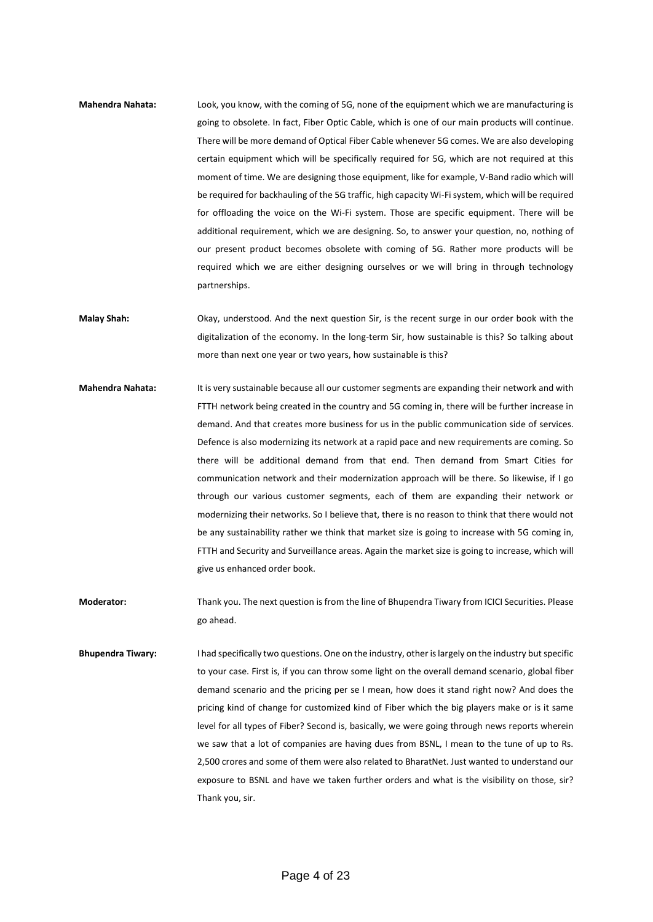- **Mahendra Nahata:** Look, you know, with the coming of 5G, none of the equipment which we are manufacturing is going to obsolete. In fact, Fiber Optic Cable, which is one of our main products will continue. There will be more demand of Optical Fiber Cable whenever 5G comes. We are also developing certain equipment which will be specifically required for 5G, which are not required at this moment of time. We are designing those equipment, like for example, V-Band radio which will be required for backhauling of the 5G traffic, high capacity Wi-Fi system, which will be required for offloading the voice on the Wi-Fi system. Those are specific equipment. There will be additional requirement, which we are designing. So, to answer your question, no, nothing of our present product becomes obsolete with coming of 5G. Rather more products will be required which we are either designing ourselves or we will bring in through technology partnerships.
- **Malay Shah:** Okay, understood. And the next question Sir, is the recent surge in our order book with the digitalization of the economy. In the long-term Sir, how sustainable is this? So talking about more than next one year or two years, how sustainable is this?
- **Mahendra Nahata:** It is very sustainable because all our customer segments are expanding their network and with FTTH network being created in the country and 5G coming in, there will be further increase in demand. And that creates more business for us in the public communication side of services. Defence is also modernizing its network at a rapid pace and new requirements are coming. So there will be additional demand from that end. Then demand from Smart Cities for communication network and their modernization approach will be there. So likewise, if I go through our various customer segments, each of them are expanding their network or modernizing their networks. So I believe that, there is no reason to think that there would not be any sustainability rather we think that market size is going to increase with 5G coming in, FTTH and Security and Surveillance areas. Again the market size is going to increase, which will give us enhanced order book.
- **Moderator:** Thank you. The next question is from the line of Bhupendra Tiwary from ICICI Securities. Please go ahead.
- **Bhupendra Tiwary:** I had specifically two questions. One on the industry, other is largely on the industry but specific to your case. First is, if you can throw some light on the overall demand scenario, global fiber demand scenario and the pricing per se I mean, how does it stand right now? And does the pricing kind of change for customized kind of Fiber which the big players make or is it same level for all types of Fiber? Second is, basically, we were going through news reports wherein we saw that a lot of companies are having dues from BSNL, I mean to the tune of up to Rs. 2,500 crores and some of them were also related to BharatNet. Just wanted to understand our exposure to BSNL and have we taken further orders and what is the visibility on those, sir? Thank you, sir.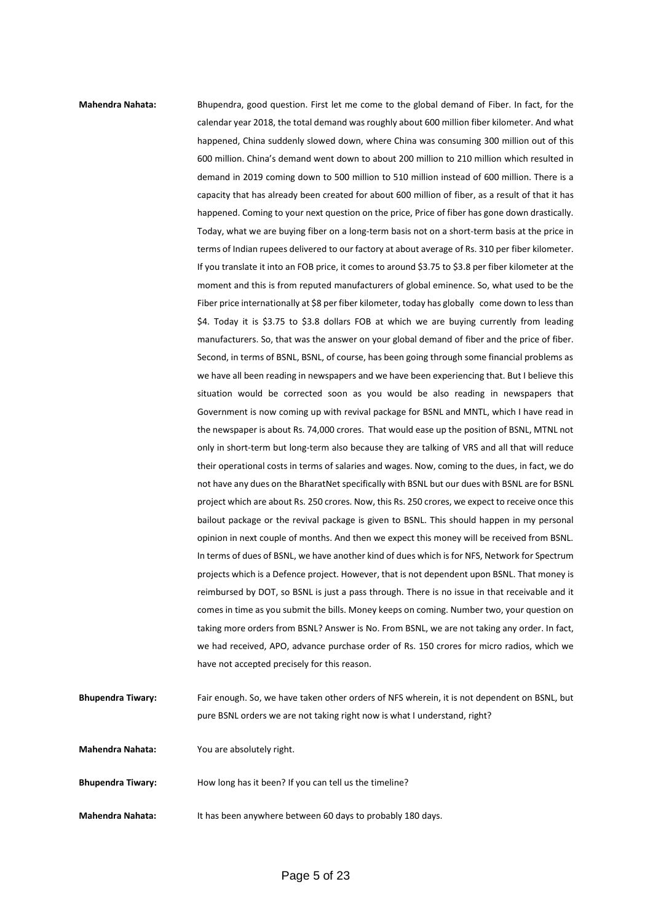**Mahendra Nahata:** Bhupendra, good question. First let me come to the global demand of Fiber. In fact, for the calendar year 2018, the total demand was roughly about 600 million fiber kilometer. And what happened, China suddenly slowed down, where China was consuming 300 million out of this 600 million. China's demand went down to about 200 million to 210 million which resulted in demand in 2019 coming down to 500 million to 510 million instead of 600 million. There is a capacity that has already been created for about 600 million of fiber, as a result of that it has happened. Coming to your next question on the price, Price of fiber has gone down drastically. Today, what we are buying fiber on a long-term basis not on a short-term basis at the price in terms of Indian rupees delivered to our factory at about average of Rs. 310 per fiber kilometer. If you translate it into an FOB price, it comes to around \$3.75 to \$3.8 per fiber kilometer at the moment and this is from reputed manufacturers of global eminence. So, what used to be the Fiber price internationally at \$8 per fiber kilometer, today has globally come down to less than \$4. Today it is \$3.75 to \$3.8 dollars FOB at which we are buying currently from leading manufacturers. So, that was the answer on your global demand of fiber and the price of fiber. Second, in terms of BSNL, BSNL, of course, has been going through some financial problems as we have all been reading in newspapers and we have been experiencing that. But I believe this situation would be corrected soon as you would be also reading in newspapers that Government is now coming up with revival package for BSNL and MNTL, which I have read in the newspaper is about Rs. 74,000 crores. That would ease up the position of BSNL, MTNL not only in short-term but long-term also because they are talking of VRS and all that will reduce their operational costs in terms of salaries and wages. Now, coming to the dues, in fact, we do not have any dues on the BharatNet specifically with BSNL but our dues with BSNL are for BSNL project which are about Rs. 250 crores. Now, this Rs. 250 crores, we expect to receive once this bailout package or the revival package is given to BSNL. This should happen in my personal opinion in next couple of months. And then we expect this money will be received from BSNL. In terms of dues of BSNL, we have another kind of dues which is for NFS, Network for Spectrum projects which is a Defence project. However, that is not dependent upon BSNL. That money is reimbursed by DOT, so BSNL is just a pass through. There is no issue in that receivable and it comes in time as you submit the bills. Money keeps on coming. Number two, your question on taking more orders from BSNL? Answer is No. From BSNL, we are not taking any order. In fact, we had received, APO, advance purchase order of Rs. 150 crores for micro radios, which we have not accepted precisely for this reason.

- **Bhupendra Tiwary:** Fair enough. So, we have taken other orders of NFS wherein, it is not dependent on BSNL, but pure BSNL orders we are not taking right now is what I understand, right? **Mahendra Nahata:** You are absolutely right. **Bhupendra Tiwary:** How long has it been? If you can tell us the timeline?
- **Mahendra Nahata:** It has been anywhere between 60 days to probably 180 days.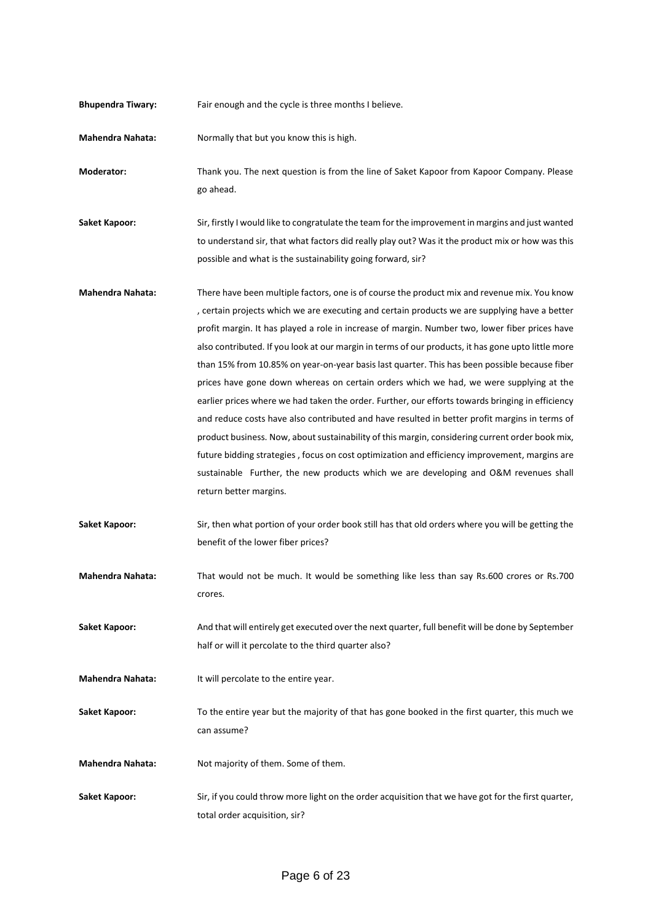| <b>Bhupendra Tiwary:</b> | Fair enough and the cycle is three months I believe.                                                                                                                                                                                                                                                                                                                                                                                                                                                                                                                                                                                                                                                                                                                                                                                                                                                                                                                                                                                                                                                                        |
|--------------------------|-----------------------------------------------------------------------------------------------------------------------------------------------------------------------------------------------------------------------------------------------------------------------------------------------------------------------------------------------------------------------------------------------------------------------------------------------------------------------------------------------------------------------------------------------------------------------------------------------------------------------------------------------------------------------------------------------------------------------------------------------------------------------------------------------------------------------------------------------------------------------------------------------------------------------------------------------------------------------------------------------------------------------------------------------------------------------------------------------------------------------------|
| <b>Mahendra Nahata:</b>  | Normally that but you know this is high.                                                                                                                                                                                                                                                                                                                                                                                                                                                                                                                                                                                                                                                                                                                                                                                                                                                                                                                                                                                                                                                                                    |
| Moderator:               | Thank you. The next question is from the line of Saket Kapoor from Kapoor Company. Please<br>go ahead.                                                                                                                                                                                                                                                                                                                                                                                                                                                                                                                                                                                                                                                                                                                                                                                                                                                                                                                                                                                                                      |
| <b>Saket Kapoor:</b>     | Sir, firstly I would like to congratulate the team for the improvement in margins and just wanted<br>to understand sir, that what factors did really play out? Was it the product mix or how was this<br>possible and what is the sustainability going forward, sir?                                                                                                                                                                                                                                                                                                                                                                                                                                                                                                                                                                                                                                                                                                                                                                                                                                                        |
| <b>Mahendra Nahata:</b>  | There have been multiple factors, one is of course the product mix and revenue mix. You know<br>, certain projects which we are executing and certain products we are supplying have a better<br>profit margin. It has played a role in increase of margin. Number two, lower fiber prices have<br>also contributed. If you look at our margin in terms of our products, it has gone upto little more<br>than 15% from 10.85% on year-on-year basis last quarter. This has been possible because fiber<br>prices have gone down whereas on certain orders which we had, we were supplying at the<br>earlier prices where we had taken the order. Further, our efforts towards bringing in efficiency<br>and reduce costs have also contributed and have resulted in better profit margins in terms of<br>product business. Now, about sustainability of this margin, considering current order book mix,<br>future bidding strategies, focus on cost optimization and efficiency improvement, margins are<br>sustainable Further, the new products which we are developing and O&M revenues shall<br>return better margins. |
| <b>Saket Kapoor:</b>     | Sir, then what portion of your order book still has that old orders where you will be getting the<br>benefit of the lower fiber prices?                                                                                                                                                                                                                                                                                                                                                                                                                                                                                                                                                                                                                                                                                                                                                                                                                                                                                                                                                                                     |
| <b>Mahendra Nahata:</b>  | That would not be much. It would be something like less than say Rs.600 crores or Rs.700<br>crores.                                                                                                                                                                                                                                                                                                                                                                                                                                                                                                                                                                                                                                                                                                                                                                                                                                                                                                                                                                                                                         |
| <b>Saket Kapoor:</b>     | And that will entirely get executed over the next quarter, full benefit will be done by September<br>half or will it percolate to the third quarter also?                                                                                                                                                                                                                                                                                                                                                                                                                                                                                                                                                                                                                                                                                                                                                                                                                                                                                                                                                                   |
| <b>Mahendra Nahata:</b>  | It will percolate to the entire year.                                                                                                                                                                                                                                                                                                                                                                                                                                                                                                                                                                                                                                                                                                                                                                                                                                                                                                                                                                                                                                                                                       |
| <b>Saket Kapoor:</b>     | To the entire year but the majority of that has gone booked in the first quarter, this much we<br>can assume?                                                                                                                                                                                                                                                                                                                                                                                                                                                                                                                                                                                                                                                                                                                                                                                                                                                                                                                                                                                                               |
| <b>Mahendra Nahata:</b>  | Not majority of them. Some of them.                                                                                                                                                                                                                                                                                                                                                                                                                                                                                                                                                                                                                                                                                                                                                                                                                                                                                                                                                                                                                                                                                         |
| <b>Saket Kapoor:</b>     | Sir, if you could throw more light on the order acquisition that we have got for the first quarter,<br>total order acquisition, sir?                                                                                                                                                                                                                                                                                                                                                                                                                                                                                                                                                                                                                                                                                                                                                                                                                                                                                                                                                                                        |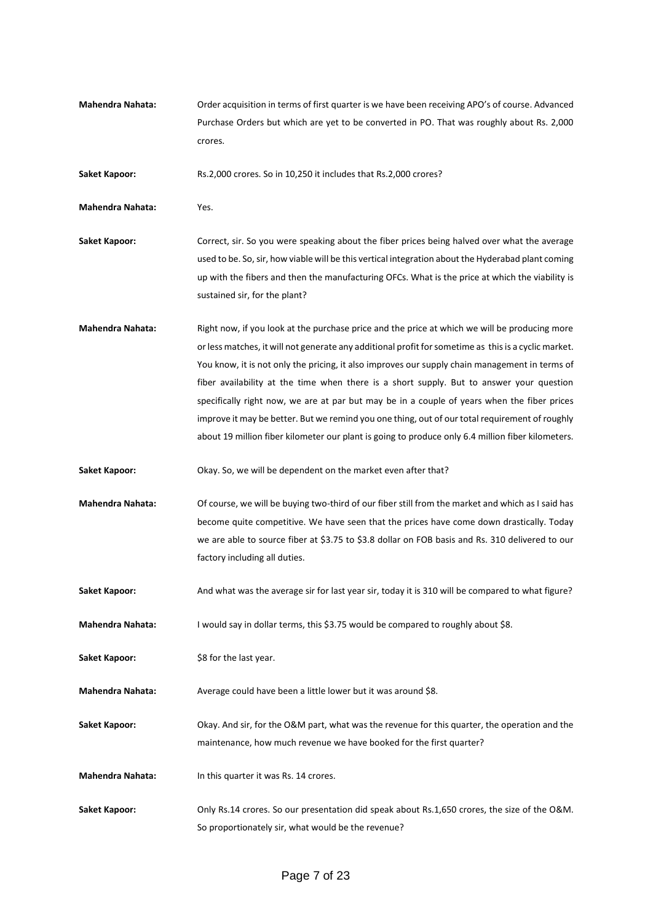**Mahendra Nahata:** Order acquisition in terms of first quarter is we have been receiving APO's of course. Advanced Purchase Orders but which are yet to be converted in PO. That was roughly about Rs. 2,000 crores.

Saket Kapoor: Rs.2,000 crores. So in 10,250 it includes that Rs.2,000 crores?

**Mahendra Nahata:** Yes.

- **Saket Kapoor:** Correct, sir. So you were speaking about the fiber prices being halved over what the average used to be. So, sir, how viable will be this vertical integration about the Hyderabad plant coming up with the fibers and then the manufacturing OFCs. What is the price at which the viability is sustained sir, for the plant?
- **Mahendra Nahata:** Right now, if you look at the purchase price and the price at which we will be producing more or less matches, it will not generate any additional profit for sometime as this is a cyclic market. You know, it is not only the pricing, it also improves our supply chain management in terms of fiber availability at the time when there is a short supply. But to answer your question specifically right now, we are at par but may be in a couple of years when the fiber prices improve it may be better. But we remind you one thing, out of our total requirement of roughly about 19 million fiber kilometer our plant is going to produce only 6.4 million fiber kilometers.
- **Saket Kapoor:** Okay. So, we will be dependent on the market even after that?
- **Mahendra Nahata:** Of course, we will be buying two-third of our fiber still from the market and which as I said has become quite competitive. We have seen that the prices have come down drastically. Today we are able to source fiber at \$3.75 to \$3.8 dollar on FOB basis and Rs. 310 delivered to our factory including all duties.
- Saket Kapoor: And what was the average sir for last year sir, today it is 310 will be compared to what figure?

**Mahendra Nahata:** I would say in dollar terms, this \$3.75 would be compared to roughly about \$8.

**Saket Kapoor:** \$8 for the last year.

**Mahendra Nahata:** Average could have been a little lower but it was around \$8.

**Saket Kapoor:** Okay. And sir, for the O&M part, what was the revenue for this quarter, the operation and the maintenance, how much revenue we have booked for the first quarter?

- **Mahendra Nahata:** In this quarter it was Rs. 14 crores.
- **Saket Kapoor:** Only Rs.14 crores. So our presentation did speak about Rs.1,650 crores, the size of the O&M. So proportionately sir, what would be the revenue?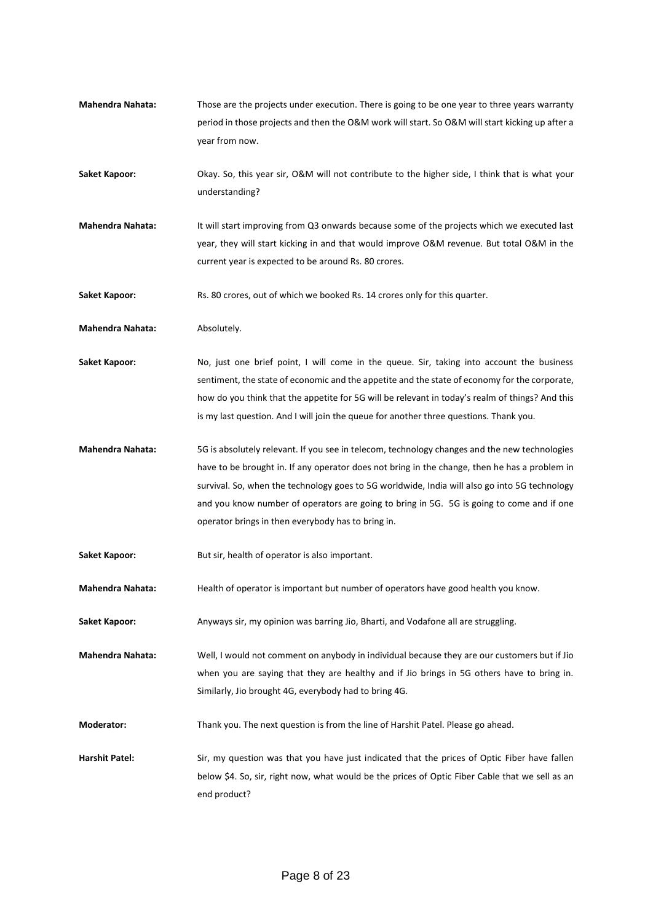**Mahendra Nahata:** Those are the projects under execution. There is going to be one year to three years warranty period in those projects and then the O&M work will start. So O&M will start kicking up after a year from now.

**Saket Kapoor:** Okay. So, this year sir, O&M will not contribute to the higher side, I think that is what your understanding?

**Mahendra Nahata:** It will start improving from Q3 onwards because some of the projects which we executed last year, they will start kicking in and that would improve O&M revenue. But total O&M in the current year is expected to be around Rs. 80 crores.

**Saket Kapoor:** Rs. 80 crores, out of which we booked Rs. 14 crores only for this quarter.

**Mahendra Nahata:** Absolutely.

Saket Kapoor: No, just one brief point, I will come in the queue. Sir, taking into account the business sentiment, the state of economic and the appetite and the state of economy for the corporate, how do you think that the appetite for 5G will be relevant in today's realm of things? And this is my last question. And I will join the queue for another three questions. Thank you.

**Mahendra Nahata:** 5G is absolutely relevant. If you see in telecom, technology changes and the new technologies have to be brought in. If any operator does not bring in the change, then he has a problem in survival. So, when the technology goes to 5G worldwide, India will also go into 5G technology and you know number of operators are going to bring in 5G. 5G is going to come and if one operator brings in then everybody has to bring in.

Saket Kapoor: But sir, health of operator is also important.

**Mahendra Nahata:** Health of operator is important but number of operators have good health you know.

Saket Kapoor: Anyways sir, my opinion was barring Jio, Bharti, and Vodafone all are struggling.

**Mahendra Nahata:** Well, I would not comment on anybody in individual because they are our customers but if Jio when you are saying that they are healthy and if Jio brings in 5G others have to bring in. Similarly, Jio brought 4G, everybody had to bring 4G.

**Moderator:** Thank you. The next question is from the line of Harshit Patel. Please go ahead.

**Harshit Patel:** Sir, my question was that you have just indicated that the prices of Optic Fiber have fallen below \$4. So, sir, right now, what would be the prices of Optic Fiber Cable that we sell as an end product?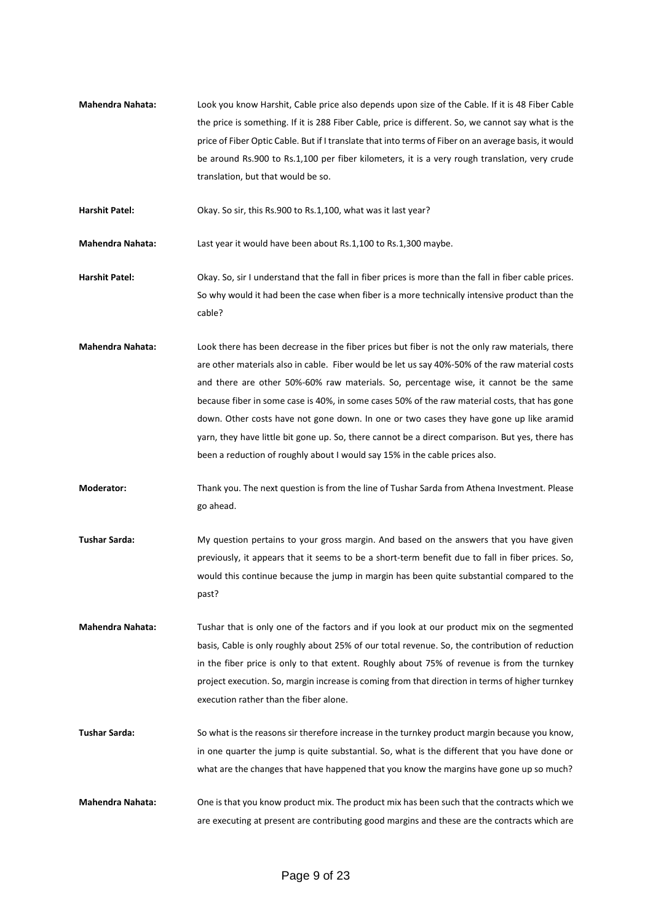**Mahendra Nahata:** Look you know Harshit, Cable price also depends upon size of the Cable. If it is 48 Fiber Cable the price is something. If it is 288 Fiber Cable, price is different. So, we cannot say what is the price of Fiber Optic Cable. But if I translate that into terms of Fiber on an average basis, it would be around Rs.900 to Rs.1,100 per fiber kilometers, it is a very rough translation, very crude translation, but that would be so.

Harshit Patel: Okay. So sir, this Rs.900 to Rs.1,100, what was it last year?

**Mahendra Nahata:** Last year it would have been about Rs.1,100 to Rs.1,300 maybe.

- **Harshit Patel:** Okay. So, sir I understand that the fall in fiber prices is more than the fall in fiber cable prices. So why would it had been the case when fiber is a more technically intensive product than the cable?
- **Mahendra Nahata:** Look there has been decrease in the fiber prices but fiber is not the only raw materials, there are other materials also in cable. Fiber would be let us say 40%-50% of the raw material costs and there are other 50%-60% raw materials. So, percentage wise, it cannot be the same because fiber in some case is 40%, in some cases 50% of the raw material costs, that has gone down. Other costs have not gone down. In one or two cases they have gone up like aramid yarn, they have little bit gone up. So, there cannot be a direct comparison. But yes, there has been a reduction of roughly about I would say 15% in the cable prices also.
- **Moderator:** Thank you. The next question is from the line of Tushar Sarda from Athena Investment. Please go ahead.
- **Tushar Sarda:** My question pertains to your gross margin. And based on the answers that you have given previously, it appears that it seems to be a short-term benefit due to fall in fiber prices. So, would this continue because the jump in margin has been quite substantial compared to the past?
- **Mahendra Nahata:** Tushar that is only one of the factors and if you look at our product mix on the segmented basis, Cable is only roughly about 25% of our total revenue. So, the contribution of reduction in the fiber price is only to that extent. Roughly about 75% of revenue is from the turnkey project execution. So, margin increase is coming from that direction in terms of higher turnkey execution rather than the fiber alone.
- **Tushar Sarda:** So what is the reasons sir therefore increase in the turnkey product margin because you know, in one quarter the jump is quite substantial. So, what is the different that you have done or what are the changes that have happened that you know the margins have gone up so much?
- **Mahendra Nahata:** One is that you know product mix. The product mix has been such that the contracts which we are executing at present are contributing good margins and these are the contracts which are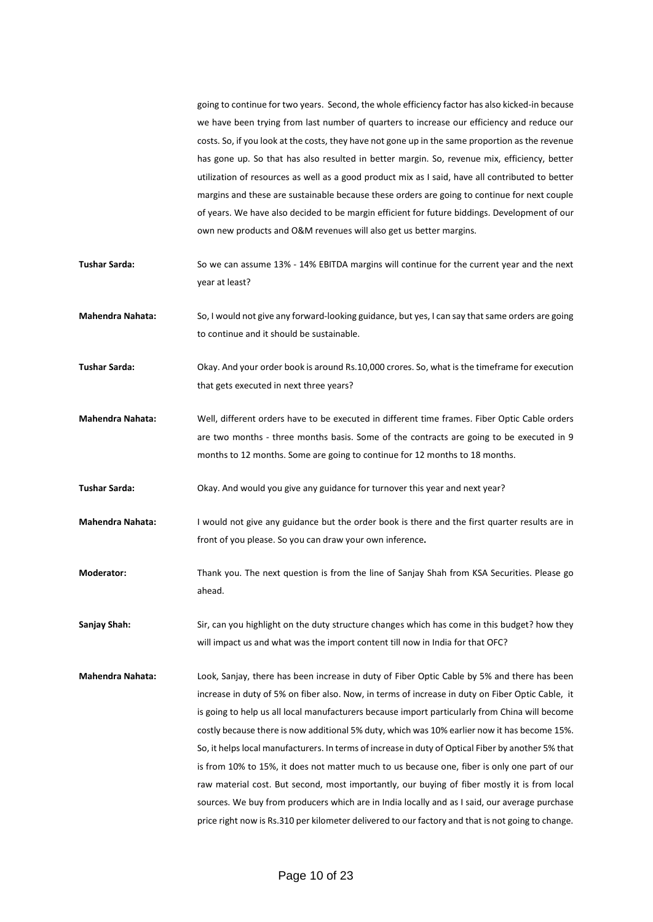going to continue for two years. Second, the whole efficiency factor has also kicked-in because we have been trying from last number of quarters to increase our efficiency and reduce our costs. So, if you look at the costs, they have not gone up in the same proportion as the revenue has gone up. So that has also resulted in better margin. So, revenue mix, efficiency, better utilization of resources as well as a good product mix as I said, have all contributed to better margins and these are sustainable because these orders are going to continue for next couple of years. We have also decided to be margin efficient for future biddings. Development of our own new products and O&M revenues will also get us better margins.

- **Tushar Sarda:** So we can assume 13% 14% EBITDA margins will continue for the current year and the next year at least?
- **Mahendra Nahata:** So, I would not give any forward-looking guidance, but yes, I can say that same orders are going to continue and it should be sustainable.
- **Tushar Sarda:** Okay. And your order book is around Rs.10,000 crores. So, what is the timeframe for execution that gets executed in next three years?
- **Mahendra Nahata:** Well, different orders have to be executed in different time frames. Fiber Optic Cable orders are two months - three months basis. Some of the contracts are going to be executed in 9 months to 12 months. Some are going to continue for 12 months to 18 months.
- Tushar Sarda: Okay. And would you give any guidance for turnover this year and next year?
- **Mahendra Nahata:** I would not give any guidance but the order book is there and the first quarter results are in front of you please. So you can draw your own inference**.**
- **Moderator:** Thank you. The next question is from the line of Sanjay Shah from KSA Securities. Please go ahead.

**Sanjay Shah:** Sir, can you highlight on the duty structure changes which has come in this budget? how they will impact us and what was the import content till now in India for that OFC?

**Mahendra Nahata:** Look, Sanjay, there has been increase in duty of Fiber Optic Cable by 5% and there has been increase in duty of 5% on fiber also. Now, in terms of increase in duty on Fiber Optic Cable, it is going to help us all local manufacturers because import particularly from China will become costly because there is now additional 5% duty, which was 10% earlier now it has become 15%. So, it helps local manufacturers. In terms of increase in duty of Optical Fiber by another 5% that is from 10% to 15%, it does not matter much to us because one, fiber is only one part of our raw material cost. But second, most importantly, our buying of fiber mostly it is from local sources. We buy from producers which are in India locally and as I said, our average purchase price right now is Rs.310 per kilometer delivered to our factory and that is not going to change.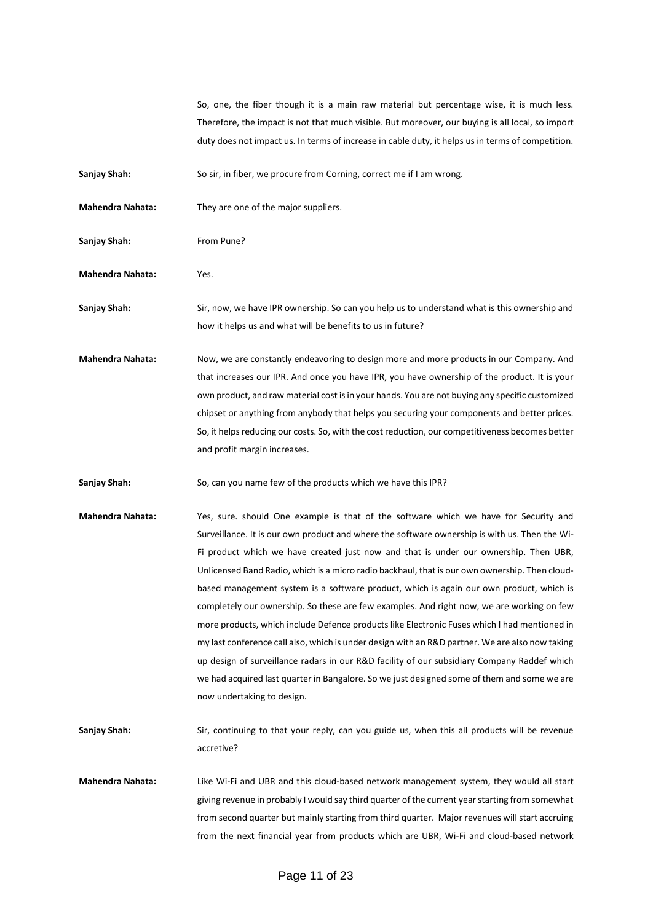So, one, the fiber though it is a main raw material but percentage wise, it is much less. Therefore, the impact is not that much visible. But moreover, our buying is all local, so import duty does not impact us. In terms of increase in cable duty, it helps us in terms of competition.

**Sanjay Shah:** So sir, in fiber, we procure from Corning, correct me if I am wrong.

**Mahendra Nahata:** They are one of the major suppliers.

Sanjay Shah: From Pune?

**Mahendra Nahata:** Yes.

**Sanjay Shah:** Sir, now, we have IPR ownership. So can you help us to understand what is this ownership and how it helps us and what will be benefits to us in future?

**Mahendra Nahata:** Now, we are constantly endeavoring to design more and more products in our Company. And that increases our IPR. And once you have IPR, you have ownership of the product. It is your own product, and raw material cost is in your hands. You are not buying any specific customized chipset or anything from anybody that helps you securing your components and better prices. So, it helps reducing our costs. So, with the cost reduction, our competitiveness becomes better and profit margin increases.

**Sanjay Shah:** So, can you name few of the products which we have this IPR?

- **Mahendra Nahata:** Yes, sure. should One example is that of the software which we have for Security and Surveillance. It is our own product and where the software ownership is with us. Then the Wi-Fi product which we have created just now and that is under our ownership. Then UBR, Unlicensed Band Radio, which is a micro radio backhaul, that is our own ownership. Then cloudbased management system is a software product, which is again our own product, which is completely our ownership. So these are few examples. And right now, we are working on few more products, which include Defence products like Electronic Fuses which I had mentioned in my last conference call also, which is under design with an R&D partner. We are also now taking up design of surveillance radars in our R&D facility of our subsidiary Company Raddef which we had acquired last quarter in Bangalore. So we just designed some of them and some we are now undertaking to design.
- **Sanjay Shah:** Sir, continuing to that your reply, can you guide us, when this all products will be revenue accretive?
- **Mahendra Nahata:** Like Wi-Fi and UBR and this cloud-based network management system, they would all start giving revenue in probably I would say third quarter of the current year starting from somewhat from second quarter but mainly starting from third quarter. Major revenues will start accruing from the next financial year from products which are UBR, Wi-Fi and cloud-based network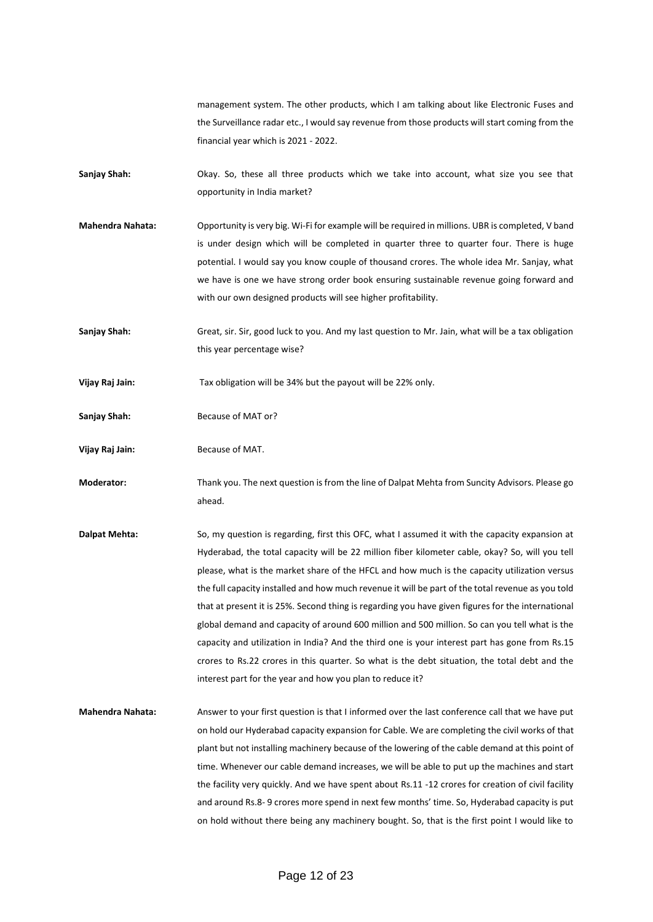management system. The other products, which I am talking about like Electronic Fuses and the Surveillance radar etc., I would say revenue from those products will start coming from the financial year which is 2021 - 2022.

- Sanjay Shah: Okay. So, these all three products which we take into account, what size you see that opportunity in India market?
- **Mahendra Nahata:** Opportunity is very big. Wi-Fi for example will be required in millions. UBR is completed, V band is under design which will be completed in quarter three to quarter four. There is huge potential. I would say you know couple of thousand crores. The whole idea Mr. Sanjay, what we have is one we have strong order book ensuring sustainable revenue going forward and with our own designed products will see higher profitability.
- **Sanjay Shah:** Great, sir. Sir, good luck to you. And my last question to Mr. Jain, what will be a tax obligation this year percentage wise?
- **Vijay Raj Jain:** Tax obligation will be 34% but the payout will be 22% only.
- Sanjay Shah: **Because of MAT or?**
- **Vijay Raj Jain:** Because of MAT.
- **Moderator:** Thank you. The next question is from the line of Dalpat Mehta from Suncity Advisors. Please go ahead.
- **Dalpat Mehta:** So, my question is regarding, first this OFC, what I assumed it with the capacity expansion at Hyderabad, the total capacity will be 22 million fiber kilometer cable, okay? So, will you tell please, what is the market share of the HFCL and how much is the capacity utilization versus the full capacity installed and how much revenue it will be part of the total revenue as you told that at present it is 25%. Second thing is regarding you have given figures for the international global demand and capacity of around 600 million and 500 million. So can you tell what is the capacity and utilization in India? And the third one is your interest part has gone from Rs.15 crores to Rs.22 crores in this quarter. So what is the debt situation, the total debt and the interest part for the year and how you plan to reduce it?
- **Mahendra Nahata:** Answer to your first question is that I informed over the last conference call that we have put on hold our Hyderabad capacity expansion for Cable. We are completing the civil works of that plant but not installing machinery because of the lowering of the cable demand at this point of time. Whenever our cable demand increases, we will be able to put up the machines and start the facility very quickly. And we have spent about Rs.11 -12 crores for creation of civil facility and around Rs.8- 9 crores more spend in next few months' time. So, Hyderabad capacity is put on hold without there being any machinery bought. So, that is the first point I would like to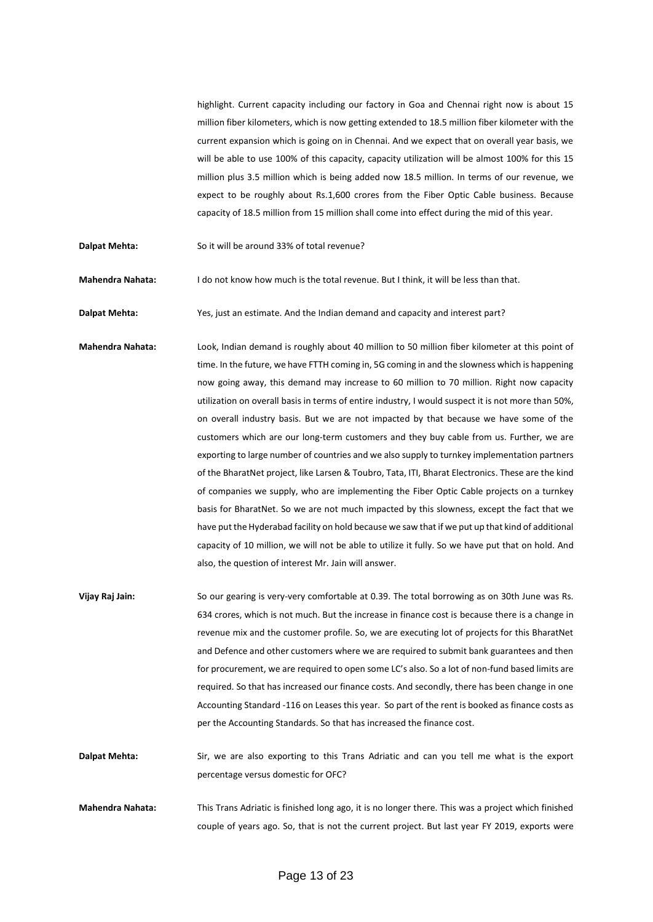highlight. Current capacity including our factory in Goa and Chennai right now is about 15 million fiber kilometers, which is now getting extended to 18.5 million fiber kilometer with the current expansion which is going on in Chennai. And we expect that on overall year basis, we will be able to use 100% of this capacity, capacity utilization will be almost 100% for this 15 million plus 3.5 million which is being added now 18.5 million. In terms of our revenue, we expect to be roughly about Rs.1,600 crores from the Fiber Optic Cable business. Because capacity of 18.5 million from 15 million shall come into effect during the mid of this year.

**Dalpat Mehta:** So it will be around 33% of total revenue?

**Mahendra Nahata:** I do not know how much is the total revenue. But I think, it will be less than that.

**Dalpat Mehta:** Yes, just an estimate. And the Indian demand and capacity and interest part?

- **Mahendra Nahata:** Look, Indian demand is roughly about 40 million to 50 million fiber kilometer at this point of time. In the future, we have FTTH coming in, 5G coming in and the slowness which is happening now going away, this demand may increase to 60 million to 70 million. Right now capacity utilization on overall basis in terms of entire industry, I would suspect it is not more than 50%, on overall industry basis. But we are not impacted by that because we have some of the customers which are our long-term customers and they buy cable from us. Further, we are exporting to large number of countries and we also supply to turnkey implementation partners of the BharatNet project, like Larsen & Toubro, Tata, ITI, Bharat Electronics. These are the kind of companies we supply, who are implementing the Fiber Optic Cable projects on a turnkey basis for BharatNet. So we are not much impacted by this slowness, except the fact that we have put the Hyderabad facility on hold because we saw that if we put up that kind of additional capacity of 10 million, we will not be able to utilize it fully. So we have put that on hold. And also, the question of interest Mr. Jain will answer.
- **Vijay Raj Jain:** So our gearing is very-very comfortable at 0.39. The total borrowing as on 30th June was Rs. 634 crores, which is not much. But the increase in finance cost is because there is a change in revenue mix and the customer profile. So, we are executing lot of projects for this BharatNet and Defence and other customers where we are required to submit bank guarantees and then for procurement, we are required to open some LC's also. So a lot of non-fund based limits are required. So that has increased our finance costs. And secondly, there has been change in one Accounting Standard -116 on Leases this year. So part of the rent is booked as finance costs as per the Accounting Standards. So that has increased the finance cost.

**Dalpat Mehta:** Sir, we are also exporting to this Trans Adriatic and can you tell me what is the export percentage versus domestic for OFC?

**Mahendra Nahata:** This Trans Adriatic is finished long ago, it is no longer there. This was a project which finished couple of years ago. So, that is not the current project. But last year FY 2019, exports were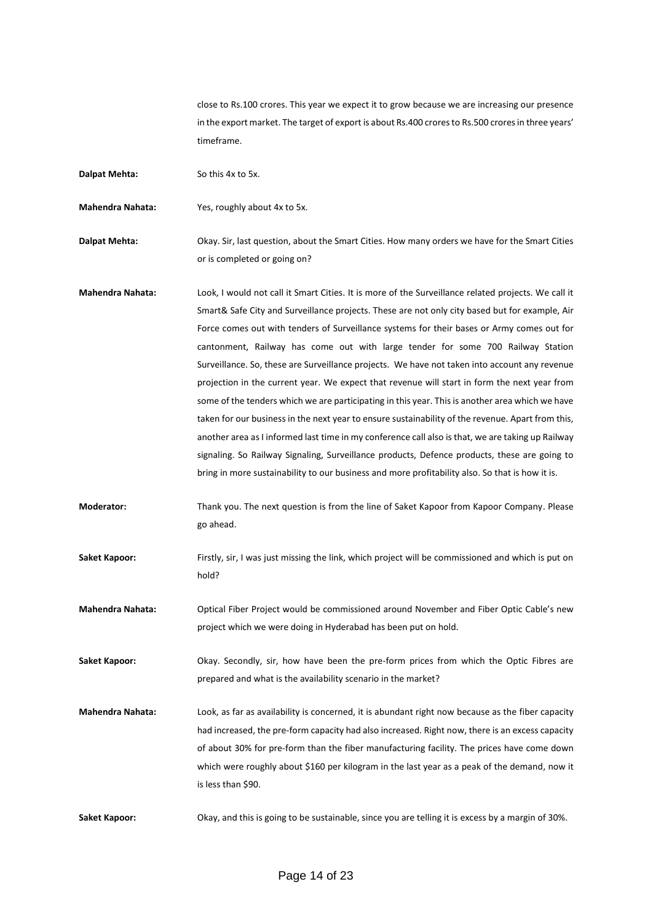close to Rs.100 crores. This year we expect it to grow because we are increasing our presence in the export market. The target of export is about Rs.400 crores to Rs.500 crores in three years' timeframe.

**Dalpat Mehta:** So this 4x to 5x.

**Mahendra Nahata:** Yes, roughly about 4x to 5x.

**Dalpat Mehta:** Okay. Sir, last question, about the Smart Cities. How many orders we have for the Smart Cities or is completed or going on?

**Mahendra Nahata:** Look, I would not call it Smart Cities. It is more of the Surveillance related projects. We call it Smart& Safe City and Surveillance projects. These are not only city based but for example, Air Force comes out with tenders of Surveillance systems for their bases or Army comes out for cantonment, Railway has come out with large tender for some 700 Railway Station Surveillance. So, these are Surveillance projects. We have not taken into account any revenue projection in the current year. We expect that revenue will start in form the next year from some of the tenders which we are participating in this year. This is another area which we have taken for our business in the next year to ensure sustainability of the revenue. Apart from this, another area as I informed last time in my conference call also is that, we are taking up Railway signaling. So Railway Signaling, Surveillance products, Defence products, these are going to bring in more sustainability to our business and more profitability also. So that is how it is.

**Moderator:** Thank you. The next question is from the line of Saket Kapoor from Kapoor Company. Please go ahead.

**Saket Kapoor:** Firstly, sir, I was just missing the link, which project will be commissioned and which is put on hold?

**Mahendra Nahata:** Optical Fiber Project would be commissioned around November and Fiber Optic Cable's new project which we were doing in Hyderabad has been put on hold.

**Saket Kapoor:** Okay. Secondly, sir, how have been the pre-form prices from which the Optic Fibres are prepared and what is the availability scenario in the market?

**Mahendra Nahata:** Look, as far as availability is concerned, it is abundant right now because as the fiber capacity had increased, the pre-form capacity had also increased. Right now, there is an excess capacity of about 30% for pre-form than the fiber manufacturing facility. The prices have come down which were roughly about \$160 per kilogram in the last year as a peak of the demand, now it is less than \$90.

Saket Kapoor: Okay, and this is going to be sustainable, since you are telling it is excess by a margin of 30%.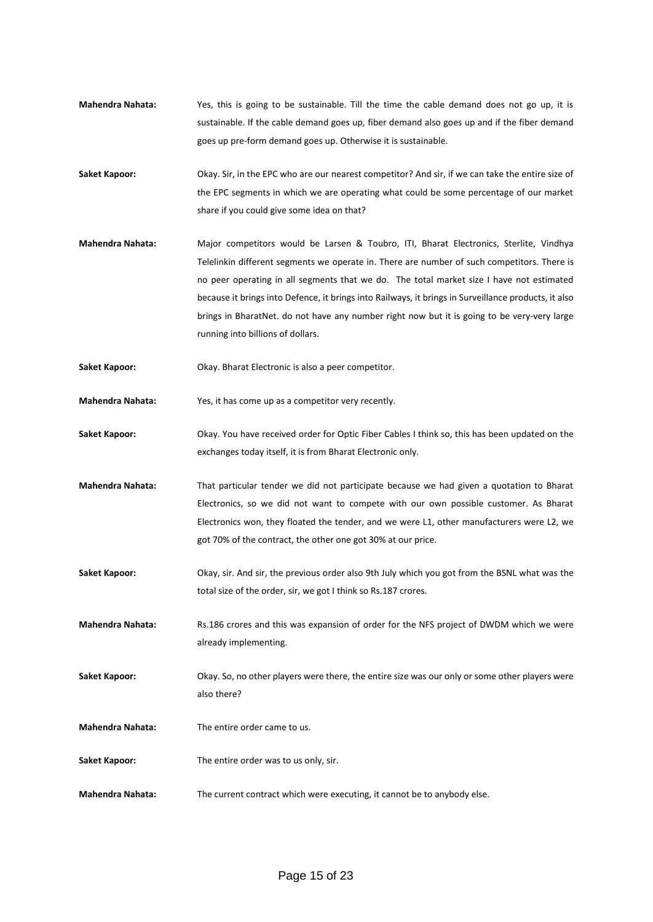- **Mahendra Nahata:** Yes, this is going to be sustainable. Till the time the cable demand does not go up, it is sustainable. If the cable demand goes up, fiber demand also goes up and if the fiber demand goes up pre-form demand goes up. Otherwise it is sustainable.
- **Saket Kapoor:** Okay. Sir, in the EPC who are our nearest competitor? And sir, if we can take the entire size of the EPC segments in which we are operating what could be some percentage of our market share if you could give some idea on that?
- **Mahendra Nahata:** Major competitors would be Larsen & Toubro, ITI, Bharat Electronics, Sterlite, Vindhya Telelinkin different segments we operate in. There are number of such competitors. There is no peer operating in all segments that we do. The total market size I have not estimated because it brings into Defence, it brings into Railways, it brings in Surveillance products, it also brings in BharatNet. do not have any number right now but it is going to be very-very large running into billions of dollars.
- **Saket Kapoor:** Okay. Bharat Electronic is also a peer competitor.
- **Mahendra Nahata:** Yes, it has come up as a competitor very recently.
- **Saket Kapoor:** Okay. You have received order for Optic Fiber Cables I think so, this has been updated on the exchanges today itself, it is from Bharat Electronic only.
- **Mahendra Nahata:** That particular tender we did not participate because we had given a quotation to Bharat Electronics, so we did not want to compete with our own possible customer. As Bharat Electronics won, they floated the tender, and we were L1, other manufacturers were L2, we got 70% of the contract, the other one got 30% at our price.
- **Saket Kapoor:** Okay, sir. And sir, the previous order also 9th July which you got from the BSNL what was the total size of the order, sir, we got I think so Rs.187 crores.
- **Mahendra Nahata:** Rs.186 crores and this was expansion of order for the NFS project of DWDM which we were already implementing.
- **Saket Kapoor:** Okay. So, no other players were there, the entire size was our only or some other players were also there?
- **Mahendra Nahata:** The entire order came to us.
- **Saket Kapoor:** The entire order was to us only, sir.
- **Mahendra Nahata:** The current contract which were executing, it cannot be to anybody else.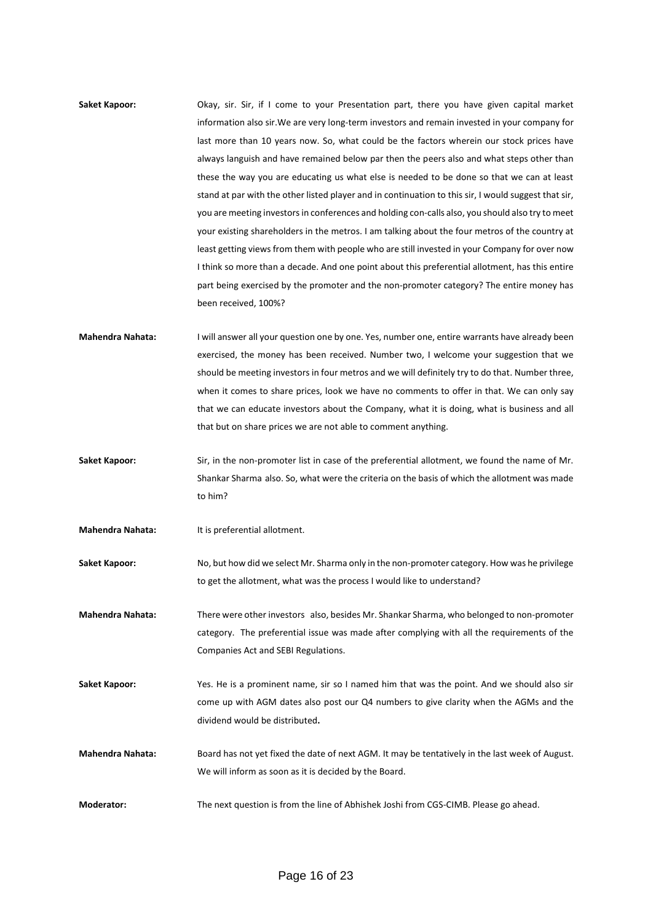- **Saket Kapoor:** Okay, sir. Sir, if I come to your Presentation part, there you have given capital market information also sir.We are very long-term investors and remain invested in your company for last more than 10 years now. So, what could be the factors wherein our stock prices have always languish and have remained below par then the peers also and what steps other than these the way you are educating us what else is needed to be done so that we can at least stand at par with the other listed player and in continuation to this sir, I would suggest that sir, you are meeting investors in conferences and holding con-calls also, you should also try to meet your existing shareholders in the metros. I am talking about the four metros of the country at least getting views from them with people who are still invested in your Company for over now I think so more than a decade. And one point about this preferential allotment, has this entire part being exercised by the promoter and the non-promoter category? The entire money has been received, 100%?
- **Mahendra Nahata:** I will answer all your question one by one. Yes, number one, entire warrants have already been exercised, the money has been received. Number two, I welcome your suggestion that we should be meeting investors in four metros and we will definitely try to do that. Number three, when it comes to share prices, look we have no comments to offer in that. We can only say that we can educate investors about the Company, what it is doing, what is business and all that but on share prices we are not able to comment anything.
- **Saket Kapoor:** Sir, in the non-promoter list in case of the preferential allotment, we found the name of Mr. Shankar Sharma also. So, what were the criteria on the basis of which the allotment was made to him?
- **Mahendra Nahata:** It is preferential allotment.
- **Saket Kapoor:** No, but how did we select Mr. Sharma only in the non-promoter category. How was he privilege to get the allotment, what was the process I would like to understand?
- **Mahendra Nahata:** There were other investors also, besides Mr. Shankar Sharma, who belonged to non-promoter category. The preferential issue was made after complying with all the requirements of the Companies Act and SEBI Regulations.
- **Saket Kapoor:** Yes. He is a prominent name, sir so I named him that was the point. And we should also sir come up with AGM dates also post our Q4 numbers to give clarity when the AGMs and the dividend would be distributed**.**
- **Mahendra Nahata:** Board has not yet fixed the date of next AGM. It may be tentatively in the last week of August. We will inform as soon as it is decided by the Board.
- **Moderator:** The next question is from the line of Abhishek Joshi from CGS-CIMB. Please go ahead.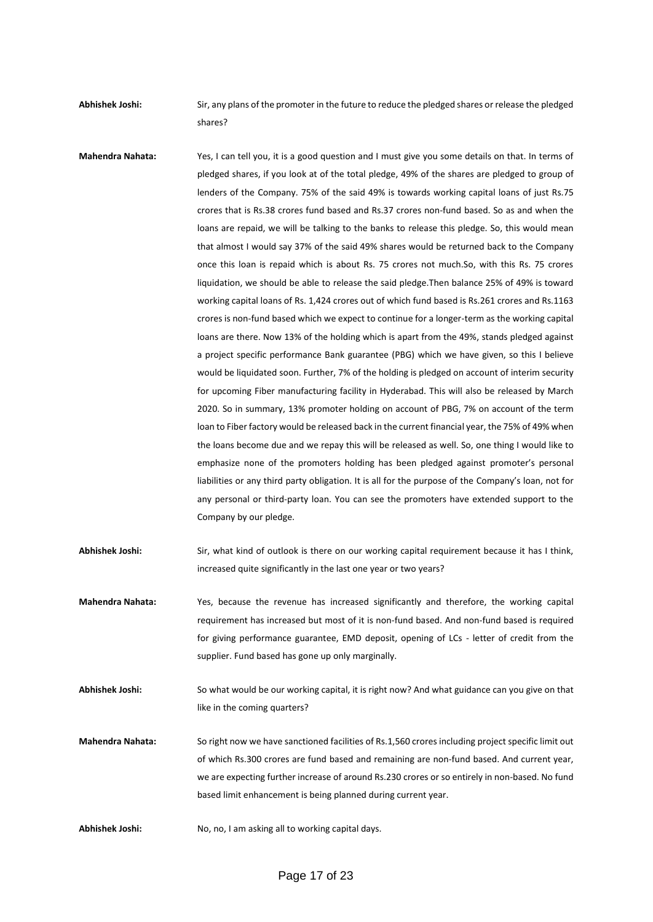**Abhishek Joshi:** Sir, any plans of the promoter in the future to reduce the pledged shares or release the pledged shares?

**Mahendra Nahata:** Yes, I can tell you, it is a good question and I must give you some details on that. In terms of pledged shares, if you look at of the total pledge, 49% of the shares are pledged to group of lenders of the Company. 75% of the said 49% is towards working capital loans of just Rs.75 crores that is Rs.38 crores fund based and Rs.37 crores non-fund based. So as and when the loans are repaid, we will be talking to the banks to release this pledge. So, this would mean that almost I would say 37% of the said 49% shares would be returned back to the Company once this loan is repaid which is about Rs. 75 crores not much.So, with this Rs. 75 crores liquidation, we should be able to release the said pledge.Then balance 25% of 49% is toward working capital loans of Rs. 1,424 crores out of which fund based is Rs.261 crores and Rs.1163 crores is non-fund based which we expect to continue for a longer-term as the working capital loans are there. Now 13% of the holding which is apart from the 49%, stands pledged against a project specific performance Bank guarantee (PBG) which we have given, so this I believe would be liquidated soon. Further, 7% of the holding is pledged on account of interim security for upcoming Fiber manufacturing facility in Hyderabad. This will also be released by March 2020. So in summary, 13% promoter holding on account of PBG, 7% on account of the term loan to Fiber factory would be released back in the current financial year, the 75% of 49% when the loans become due and we repay this will be released as well. So, one thing I would like to emphasize none of the promoters holding has been pledged against promoter's personal liabilities or any third party obligation. It is all for the purpose of the Company's loan, not for any personal or third-party loan. You can see the promoters have extended support to the Company by our pledge.

**Abhishek Joshi:** Sir, what kind of outlook is there on our working capital requirement because it has I think, increased quite significantly in the last one year or two years?

**Mahendra Nahata:** Yes, because the revenue has increased significantly and therefore, the working capital requirement has increased but most of it is non-fund based. And non-fund based is required for giving performance guarantee, EMD deposit, opening of LCs - letter of credit from the supplier. Fund based has gone up only marginally.

**Abhishek Joshi:** So what would be our working capital, it is right now? And what guidance can you give on that like in the coming quarters?

**Mahendra Nahata:** So right now we have sanctioned facilities of Rs.1,560 crores including project specific limit out of which Rs.300 crores are fund based and remaining are non-fund based. And current year, we are expecting further increase of around Rs.230 crores or so entirely in non-based. No fund based limit enhancement is being planned during current year.

Abhishek Joshi: No, no, I am asking all to working capital days.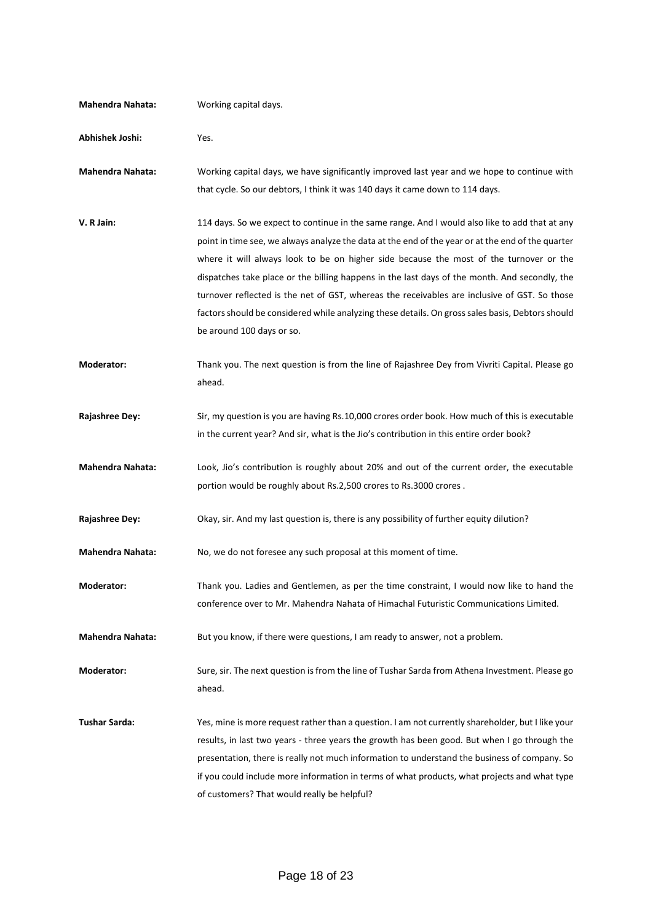| <b>Mahendra Nahata:</b> | Working capital days.                                                                                                                                                                                                                                                                                                                                                                                                                                                                                                                                                                                                           |
|-------------------------|---------------------------------------------------------------------------------------------------------------------------------------------------------------------------------------------------------------------------------------------------------------------------------------------------------------------------------------------------------------------------------------------------------------------------------------------------------------------------------------------------------------------------------------------------------------------------------------------------------------------------------|
| Abhishek Joshi:         | Yes.                                                                                                                                                                                                                                                                                                                                                                                                                                                                                                                                                                                                                            |
| <b>Mahendra Nahata:</b> | Working capital days, we have significantly improved last year and we hope to continue with<br>that cycle. So our debtors, I think it was 140 days it came down to 114 days.                                                                                                                                                                                                                                                                                                                                                                                                                                                    |
| V. R Jain:              | 114 days. So we expect to continue in the same range. And I would also like to add that at any<br>point in time see, we always analyze the data at the end of the year or at the end of the quarter<br>where it will always look to be on higher side because the most of the turnover or the<br>dispatches take place or the billing happens in the last days of the month. And secondly, the<br>turnover reflected is the net of GST, whereas the receivables are inclusive of GST. So those<br>factors should be considered while analyzing these details. On gross sales basis, Debtors should<br>be around 100 days or so. |
| <b>Moderator:</b>       | Thank you. The next question is from the line of Rajashree Dey from Vivriti Capital. Please go<br>ahead.                                                                                                                                                                                                                                                                                                                                                                                                                                                                                                                        |
| <b>Rajashree Dey:</b>   | Sir, my question is you are having Rs.10,000 crores order book. How much of this is executable<br>in the current year? And sir, what is the Jio's contribution in this entire order book?                                                                                                                                                                                                                                                                                                                                                                                                                                       |
| <b>Mahendra Nahata:</b> | Look, Jio's contribution is roughly about 20% and out of the current order, the executable<br>portion would be roughly about Rs.2,500 crores to Rs.3000 crores.                                                                                                                                                                                                                                                                                                                                                                                                                                                                 |
| <b>Rajashree Dey:</b>   | Okay, sir. And my last question is, there is any possibility of further equity dilution?                                                                                                                                                                                                                                                                                                                                                                                                                                                                                                                                        |
| <b>Mahendra Nahata:</b> | No, we do not foresee any such proposal at this moment of time.                                                                                                                                                                                                                                                                                                                                                                                                                                                                                                                                                                 |
| Moderator:              | Thank you. Ladies and Gentlemen, as per the time constraint, I would now like to hand the<br>conference over to Mr. Mahendra Nahata of Himachal Futuristic Communications Limited.                                                                                                                                                                                                                                                                                                                                                                                                                                              |
| <b>Mahendra Nahata:</b> | But you know, if there were questions, I am ready to answer, not a problem.                                                                                                                                                                                                                                                                                                                                                                                                                                                                                                                                                     |
| Moderator:              | Sure, sir. The next question is from the line of Tushar Sarda from Athena Investment. Please go<br>ahead.                                                                                                                                                                                                                                                                                                                                                                                                                                                                                                                       |
| <b>Tushar Sarda:</b>    | Yes, mine is more request rather than a question. I am not currently shareholder, but I like your<br>results, in last two years - three years the growth has been good. But when I go through the<br>presentation, there is really not much information to understand the business of company. So<br>if you could include more information in terms of what products, what projects and what type<br>of customers? That would really be helpful?                                                                                                                                                                                |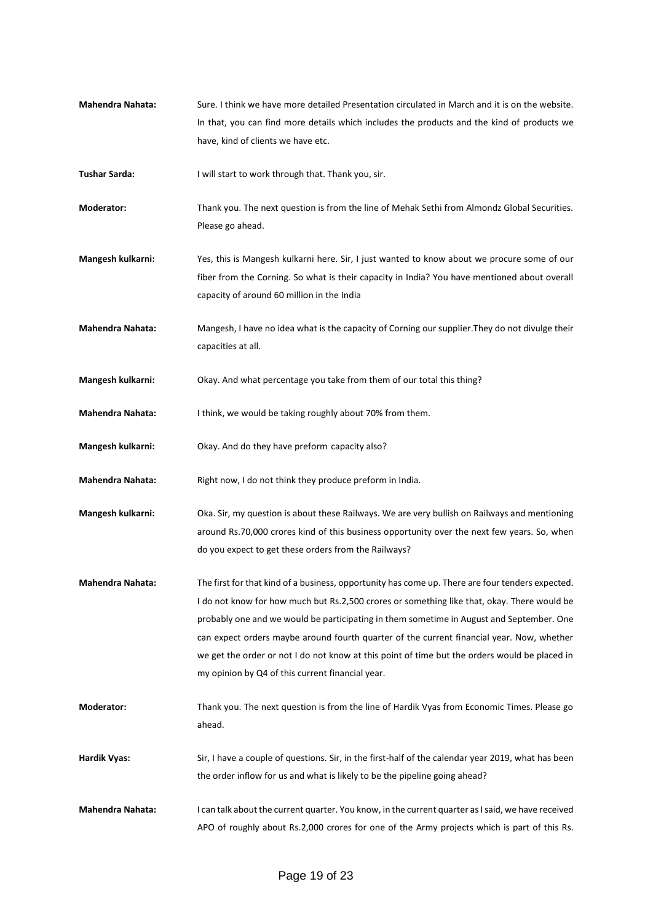- **Mahendra Nahata:** Sure. I think we have more detailed Presentation circulated in March and it is on the website. In that, you can find more details which includes the products and the kind of products we have, kind of clients we have etc.
- **Tushar Sarda:** I will start to work through that. Thank you, sir.
- **Moderator:** Thank you. The next question is from the line of Mehak Sethi from Almondz Global Securities. Please go ahead.
- **Mangesh kulkarni:** Yes, this is Mangesh kulkarni here. Sir, I just wanted to know about we procure some of our fiber from the Corning. So what is their capacity in India? You have mentioned about overall capacity of around 60 million in the India
- **Mahendra Nahata:** Mangesh, I have no idea what is the capacity of Corning our supplier.They do not divulge their capacities at all.
- **Mangesh kulkarni:** Okay. And what percentage you take from them of our total this thing?
- **Mahendra Nahata:** I think, we would be taking roughly about 70% from them.
- **Mangesh kulkarni:** Okay. And do they have preform capacity also?
- Mahendra Nahata: Right now, I do not think they produce preform in India.
- **Mangesh kulkarni:** Oka. Sir, my question is about these Railways. We are very bullish on Railways and mentioning around Rs.70,000 crores kind of this business opportunity over the next few years. So, when do you expect to get these orders from the Railways?
- **Mahendra Nahata:** The first for that kind of a business, opportunity has come up. There are four tenders expected. I do not know for how much but Rs.2,500 crores or something like that, okay. There would be probably one and we would be participating in them sometime in August and September. One can expect orders maybe around fourth quarter of the current financial year. Now, whether we get the order or not I do not know at this point of time but the orders would be placed in my opinion by Q4 of this current financial year.
- **Moderator:** Thank you. The next question is from the line of Hardik Vyas from Economic Times. Please go ahead.
- **Hardik Vyas:** Sir, I have a couple of questions. Sir, in the first-half of the calendar year 2019, what has been the order inflow for us and what is likely to be the pipeline going ahead?
- **Mahendra Nahata:** I can talk about the current quarter. You know, in the current quarter as I said, we have received APO of roughly about Rs.2,000 crores for one of the Army projects which is part of this Rs.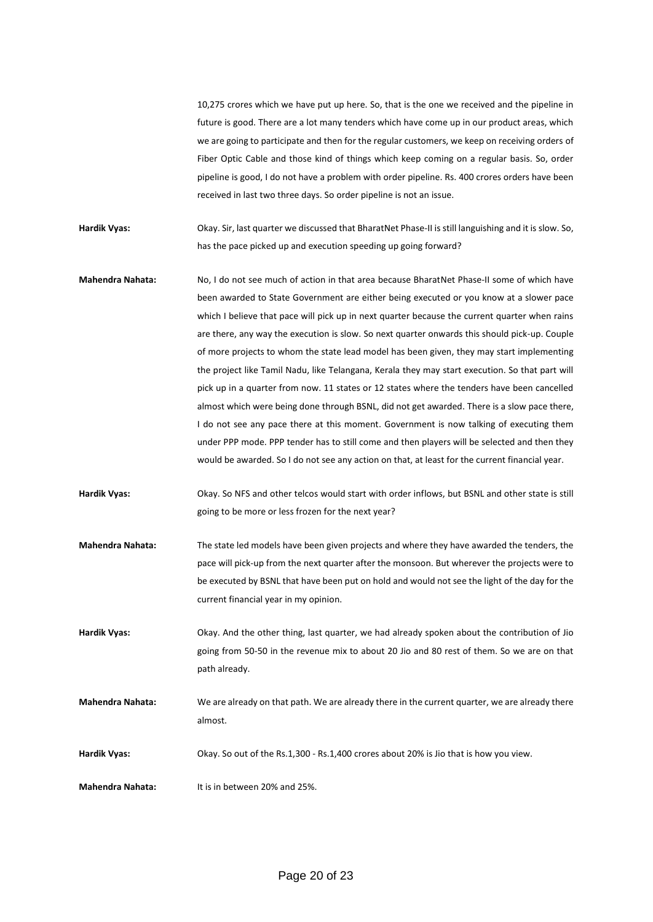10,275 crores which we have put up here. So, that is the one we received and the pipeline in future is good. There are a lot many tenders which have come up in our product areas, which we are going to participate and then for the regular customers, we keep on receiving orders of Fiber Optic Cable and those kind of things which keep coming on a regular basis. So, order pipeline is good, I do not have a problem with order pipeline. Rs. 400 crores orders have been received in last two three days. So order pipeline is not an issue.

**Hardik Vyas:** Okay. Sir, last quarter we discussed that BharatNet Phase-II is still languishing and it is slow. So, has the pace picked up and execution speeding up going forward?

**Mahendra Nahata:** No, I do not see much of action in that area because BharatNet Phase-II some of which have been awarded to State Government are either being executed or you know at a slower pace which I believe that pace will pick up in next quarter because the current quarter when rains are there, any way the execution is slow. So next quarter onwards this should pick-up. Couple of more projects to whom the state lead model has been given, they may start implementing the project like Tamil Nadu, like Telangana, Kerala they may start execution. So that part will pick up in a quarter from now. 11 states or 12 states where the tenders have been cancelled almost which were being done through BSNL, did not get awarded. There is a slow pace there, I do not see any pace there at this moment. Government is now talking of executing them under PPP mode. PPP tender has to still come and then players will be selected and then they would be awarded. So I do not see any action on that, at least for the current financial year.

**Hardik Vyas:** Okay. So NFS and other telcos would start with order inflows, but BSNL and other state is still going to be more or less frozen for the next year?

- **Mahendra Nahata:** The state led models have been given projects and where they have awarded the tenders, the pace will pick-up from the next quarter after the monsoon. But wherever the projects were to be executed by BSNL that have been put on hold and would not see the light of the day for the current financial year in my opinion.
- **Hardik Vyas:** Okay. And the other thing, last quarter, we had already spoken about the contribution of Jio going from 50-50 in the revenue mix to about 20 Jio and 80 rest of them. So we are on that path already.

**Mahendra Nahata:** We are already on that path. We are already there in the current quarter, we are already there almost.

**Hardik Vyas:** Okay. So out of the Rs.1,300 - Rs.1,400 crores about 20% is Jio that is how you view.

**Mahendra Nahata:** It is in between 20% and 25%.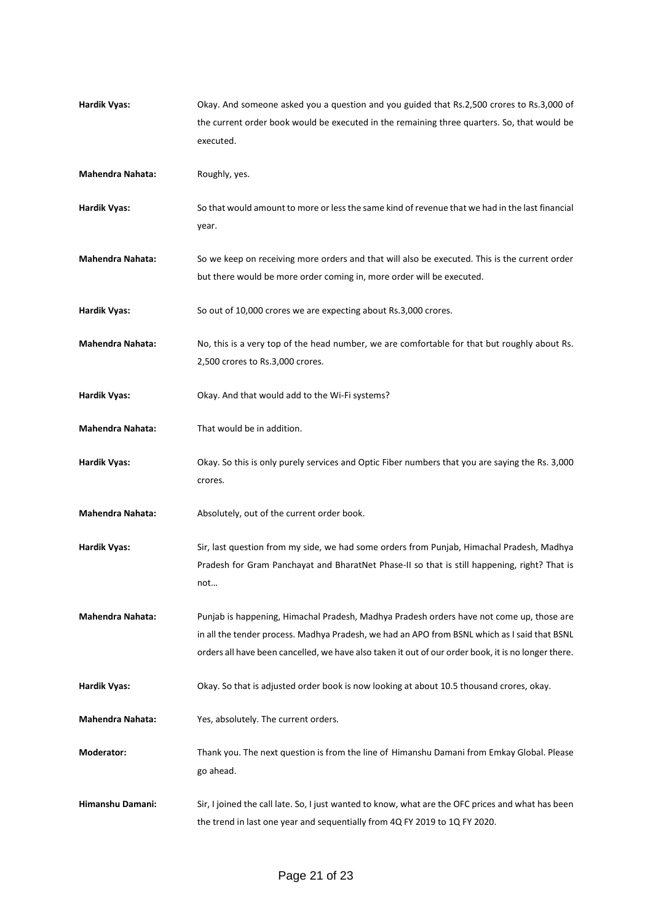| <b>Hardik Vyas:</b>     | Okay. And someone asked you a question and you guided that Rs.2,500 crores to Rs.3,000 of           |
|-------------------------|-----------------------------------------------------------------------------------------------------|
|                         | the current order book would be executed in the remaining three quarters. So, that would be         |
|                         | executed.                                                                                           |
| <b>Mahendra Nahata:</b> | Roughly, yes.                                                                                       |
| <b>Hardik Vyas:</b>     | So that would amount to more or less the same kind of revenue that we had in the last financial     |
|                         | year.                                                                                               |
| <b>Mahendra Nahata:</b> | So we keep on receiving more orders and that will also be executed. This is the current order       |
|                         | but there would be more order coming in, more order will be executed.                               |
| Hardik Vyas:            | So out of 10,000 crores we are expecting about Rs.3,000 crores.                                     |
| <b>Mahendra Nahata:</b> | No, this is a very top of the head number, we are comfortable for that but roughly about Rs.        |
|                         | 2,500 crores to Rs.3,000 crores.                                                                    |
| <b>Hardik Vyas:</b>     | Okay. And that would add to the Wi-Fi systems?                                                      |
| <b>Mahendra Nahata:</b> | That would be in addition.                                                                          |
| <b>Hardik Vyas:</b>     | Okay. So this is only purely services and Optic Fiber numbers that you are saying the Rs. 3,000     |
|                         | crores.                                                                                             |
| <b>Mahendra Nahata:</b> | Absolutely, out of the current order book.                                                          |
| <b>Hardik Vyas:</b>     | Sir, last question from my side, we had some orders from Punjab, Himachal Pradesh, Madhya           |
|                         | Pradesh for Gram Panchayat and BharatNet Phase-II so that is still happening, right? That is        |
|                         | not                                                                                                 |
| <b>Mahendra Nahata:</b> | Punjab is happening, Himachal Pradesh, Madhya Pradesh orders have not come up, those are            |
|                         | in all the tender process. Madhya Pradesh, we had an APO from BSNL which as I said that BSNL        |
|                         | orders all have been cancelled, we have also taken it out of our order book, it is no longer there. |
| <b>Hardik Vyas:</b>     | Okay. So that is adjusted order book is now looking at about 10.5 thousand crores, okay.            |
| <b>Mahendra Nahata:</b> | Yes, absolutely. The current orders.                                                                |
| Moderator:              | Thank you. The next question is from the line of Himanshu Damani from Emkay Global. Please          |
|                         | go ahead.                                                                                           |
| Himanshu Damani:        | Sir, I joined the call late. So, I just wanted to know, what are the OFC prices and what has been   |
|                         | the trend in last one year and sequentially from 4Q FY 2019 to 1Q FY 2020.                          |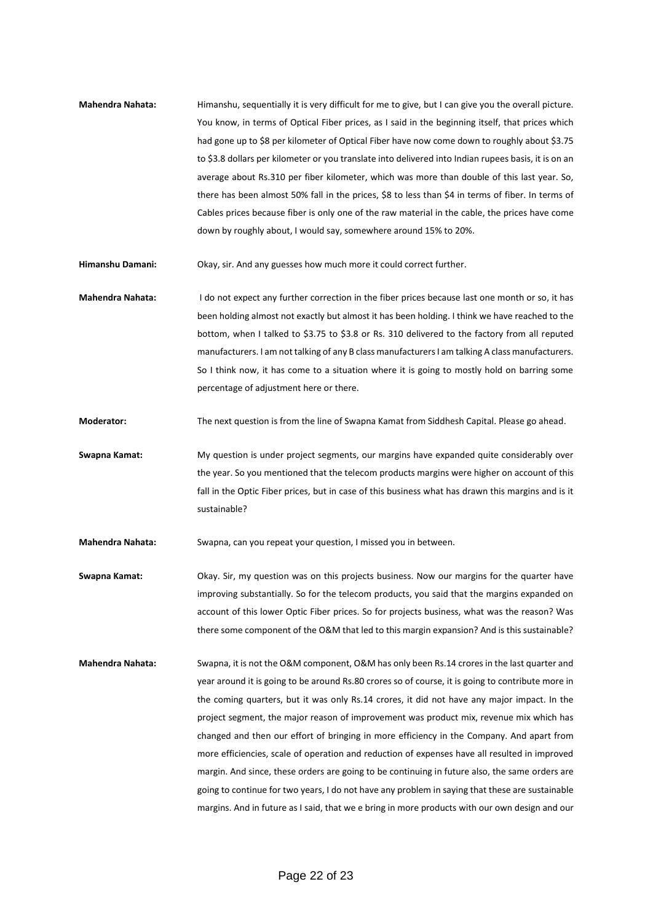**Mahendra Nahata:** Himanshu, sequentially it is very difficult for me to give, but I can give you the overall picture. You know, in terms of Optical Fiber prices, as I said in the beginning itself, that prices which had gone up to \$8 per kilometer of Optical Fiber have now come down to roughly about \$3.75 to \$3.8 dollars per kilometer or you translate into delivered into Indian rupees basis, it is on an average about Rs.310 per fiber kilometer, which was more than double of this last year. So, there has been almost 50% fall in the prices, \$8 to less than \$4 in terms of fiber. In terms of Cables prices because fiber is only one of the raw material in the cable, the prices have come down by roughly about, I would say, somewhere around 15% to 20%.

**Himanshu Damani:** Okay, sir. And any guesses how much more it could correct further.

**Mahendra Nahata:** I do not expect any further correction in the fiber prices because last one month or so, it has been holding almost not exactly but almost it has been holding. I think we have reached to the bottom, when I talked to \$3.75 to \$3.8 or Rs. 310 delivered to the factory from all reputed manufacturers. I am not talking of any B class manufacturers I am talking A class manufacturers. So I think now, it has come to a situation where it is going to mostly hold on barring some percentage of adjustment here or there.

**Moderator:** The next question is from the line of Swapna Kamat from Siddhesh Capital. Please go ahead.

**Swapna Kamat:** My question is under project segments, our margins have expanded quite considerably over the year. So you mentioned that the telecom products margins were higher on account of this fall in the Optic Fiber prices, but in case of this business what has drawn this margins and is it sustainable?

**Mahendra Nahata:** Swapna, can you repeat your question, I missed you in between.

**Swapna Kamat:** Okay. Sir, my question was on this projects business. Now our margins for the quarter have improving substantially. So for the telecom products, you said that the margins expanded on account of this lower Optic Fiber prices. So for projects business, what was the reason? Was there some component of the O&M that led to this margin expansion? And is this sustainable?

**Mahendra Nahata:** Swapna, it is not the O&M component, O&M has only been Rs.14 crores in the last quarter and year around it is going to be around Rs.80 crores so of course, it is going to contribute more in the coming quarters, but it was only Rs.14 crores, it did not have any major impact. In the project segment, the major reason of improvement was product mix, revenue mix which has changed and then our effort of bringing in more efficiency in the Company. And apart from more efficiencies, scale of operation and reduction of expenses have all resulted in improved margin. And since, these orders are going to be continuing in future also, the same orders are going to continue for two years, I do not have any problem in saying that these are sustainable margins. And in future as I said, that we e bring in more products with our own design and our